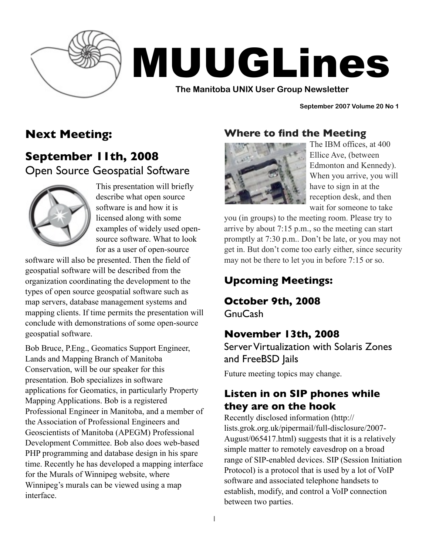

# MUUGLines

**The Manitoba UNIX User Group Newsletter**

**September 2007 Volume 20 No 1**

# **Next Meeting:**

**September 11th, 2008** Open Source Geospatial Software



This presentation will briefly describe what open source software is and how it is licensed along with some examples of widely used opensource software. What to look for as a user of open-source

software will also be presented. Then the field of geospatial software will be described from the organization coordinating the development to the types of open source geospatial software such as map servers, database management systems and mapping clients. If time permits the presentation will conclude with demonstrations of some open-source geospatial software.

Bob Bruce, P.Eng., Geomatics Support Engineer, Lands and Mapping Branch of Manitoba Conservation, will be our speaker for this presentation. Bob specializes in software applications for Geomatics, in particularly Property Mapping Applications. Bob is a registered Professional Engineer in Manitoba, and a member of the Association of Professional Engineers and Geoscientists of Manitoba (APEGM) Professional Development Committee. Bob also does web-based PHP programming and database design in his spare time. Recently he has developed a mapping interface for the Murals of Winnipeg website, where Winnipeg's murals can be viewed using a map interface.

## **Where to find the Meeting**



The IBM offices, at 400 Ellice Ave, (between Edmonton and Kennedy). When you arrive, you will have to sign in at the reception desk, and then wait for someone to take

you (in groups) to the meeting room. Please try to arrive by about 7:15 p.m., so the meeting can start promptly at 7:30 p.m.. Don't be late, or you may not get in. But don't come too early either, since security may not be there to let you in before 7:15 or so.

# **Upcoming Meetings:**

**October 9th, 2008**

GnuCash

# **November 13th, 2008**

Server Virtualization with Solaris Zones and FreeBSD Jails

Future meeting topics may change.

#### **Listen in on SIP phones while they are on the hook**

Recently disclosed information (http:// lists.grok.org.uk/pipermail/full-disclosure/2007- August/065417.html) suggests that it is a relatively simple matter to remotely eavesdrop on a broad range of SIP-enabled devices. SIP (Session Initiation Protocol) is a protocol that is used by a lot of VoIP software and associated telephone handsets to establish, modify, and control a VoIP connection between two parties.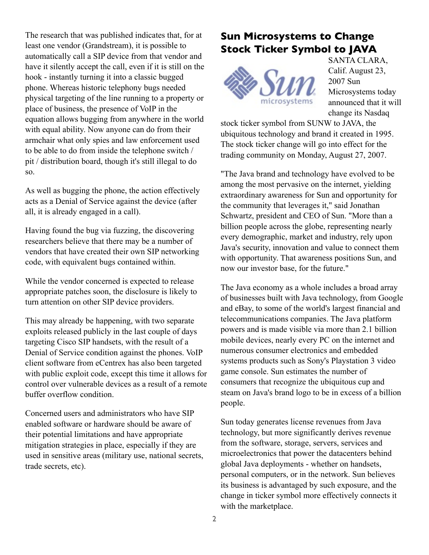The research that was published indicates that, for at least one vendor (Grandstream), it is possible to automatically call a SIP device from that vendor and have it silently accept the call, even if it is still on the hook - instantly turning it into a classic bugged phone. Whereas historic telephony bugs needed physical targeting of the line running to a property or place of business, the presence of VoIP in the equation allows bugging from anywhere in the world with equal ability. Now anyone can do from their armchair what only spies and law enforcement used to be able to do from inside the telephone switch / pit / distribution board, though it's still illegal to do so.

As well as bugging the phone, the action effectively acts as a Denial of Service against the device (after all, it is already engaged in a call).

Having found the bug via fuzzing, the discovering researchers believe that there may be a number of vendors that have created their own SIP networking code, with equivalent bugs contained within.

While the vendor concerned is expected to release appropriate patches soon, the disclosure is likely to turn attention on other SIP device providers.

This may already be happening, with two separate exploits released publicly in the last couple of days targeting Cisco SIP handsets, with the result of a Denial of Service condition against the phones. VoIP client software from eCentrex has also been targeted with public exploit code, except this time it allows for control over vulnerable devices as a result of a remote buffer overflow condition.

Concerned users and administrators who have SIP enabled software or hardware should be aware of their potential limitations and have appropriate mitigation strategies in place, especially if they are used in sensitive areas (military use, national secrets, trade secrets, etc).

### **Sun Microsystems to Change Stock Ticker Symbol to JAVA**



SANTA CLARA, Calif. August 23, 2007 Sun Microsystems today announced that it will change its Nasdaq

stock ticker symbol from SUNW to JAVA, the ubiquitous technology and brand it created in 1995. The stock ticker change will go into effect for the trading community on Monday, August 27, 2007.

"The Java brand and technology have evolved to be among the most pervasive on the internet, yielding extraordinary awareness for Sun and opportunity for the community that leverages it," said Jonathan Schwartz, president and CEO of Sun. "More than a billion people across the globe, representing nearly every demographic, market and industry, rely upon Java's security, innovation and value to connect them with opportunity. That awareness positions Sun, and now our investor base, for the future."

The Java economy as a whole includes a broad array of businesses built with Java technology, from Google and eBay, to some of the world's largest financial and telecommunications companies. The Java platform powers and is made visible via more than 2.1 billion mobile devices, nearly every PC on the internet and numerous consumer electronics and embedded systems products such as Sony's Playstation 3 video game console. Sun estimates the number of consumers that recognize the ubiquitous cup and steam on Java's brand logo to be in excess of a billion people.

Sun today generates license revenues from Java technology, but more significantly derives revenue from the software, storage, servers, services and microelectronics that power the datacenters behind global Java deployments - whether on handsets, personal computers, or in the network. Sun believes its business is advantaged by such exposure, and the change in ticker symbol more effectively connects it with the marketplace.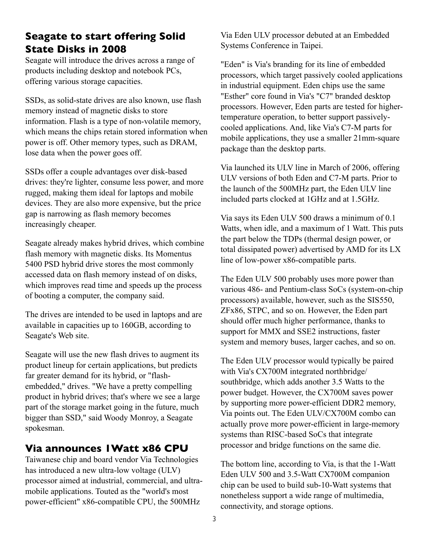#### **Seagate to start offering Solid State Disks in 2008**

Seagate will introduce the drives across a range of products including desktop and notebook PCs, offering various storage capacities.

SSDs, as solid-state drives are also known, use flash memory instead of magnetic disks to store information. Flash is a type of non-volatile memory, which means the chips retain stored information when power is off. Other memory types, such as DRAM, lose data when the power goes off.

SSDs offer a couple advantages over disk-based drives: they're lighter, consume less power, and more rugged, making them ideal for laptops and mobile devices. They are also more expensive, but the price gap is narrowing as flash memory becomes increasingly cheaper.

Seagate already makes hybrid drives, which combine flash memory with magnetic disks. Its Momentus 5400 PSD hybrid drive stores the most commonly accessed data on flash memory instead of on disks, which improves read time and speeds up the process of booting a computer, the company said.

The drives are intended to be used in laptops and are available in capacities up to 160GB, according to Seagate's Web site.

Seagate will use the new flash drives to augment its product lineup for certain applications, but predicts far greater demand for its hybrid, or "flashembedded," drives. "We have a pretty compelling product in hybrid drives; that's where we see a large part of the storage market going in the future, much bigger than SSD," said Woody Monroy, a Seagate spokesman.

#### **Via announces 1Watt x86 CPU**

Taiwanese chip and board vendor Via Technologies has introduced a new ultra-low voltage (ULV) processor aimed at industrial, commercial, and ultramobile applications. Touted as the "world's most power-efficient" x86-compatible CPU, the 500MHz

Via Eden ULV processor debuted at an Embedded Systems Conference in Taipei.

"Eden" is Via's branding for its line of embedded processors, which target passively cooled applications in industrial equipment. Eden chips use the same "Esther" core found in Via's "C7" branded desktop processors. However, Eden parts are tested for highertemperature operation, to better support passivelycooled applications. And, like Via's C7-M parts for mobile applications, they use a smaller 21mm-square package than the desktop parts.

Via launched its ULV line in March of 2006, offering ULV versions of both Eden and C7-M parts. Prior to the launch of the 500MHz part, the Eden ULV line included parts clocked at 1GHz and at 1.5GHz.

Via says its Eden ULV 500 draws a minimum of 0.1 Watts, when idle, and a maximum of 1 Watt. This puts the part below the TDPs (thermal design power, or total dissipated power) advertised by AMD for its LX line of low-power x86-compatible parts.

The Eden ULV 500 probably uses more power than various 486- and Pentium-class SoCs (system-on-chip processors) available, however, such as the SIS550, ZFx86, STPC, and so on. However, the Eden part should offer much higher performance, thanks to support for MMX and SSE2 instructions, faster system and memory buses, larger caches, and so on.

The Eden ULV processor would typically be paired with Via's CX700M integrated northbridge/ southbridge, which adds another 3.5 Watts to the power budget. However, the CX700M saves power by supporting more power-efficient DDR2 memory, Via points out. The Eden ULV/CX700M combo can actually prove more power-efficient in large-memory systems than RISC-based SoCs that integrate processor and bridge functions on the same die.

The bottom line, according to Via, is that the 1-Watt Eden ULV 500 and 3.5-Watt CX700M companion chip can be used to build sub-10-Watt systems that nonetheless support a wide range of multimedia, connectivity, and storage options.